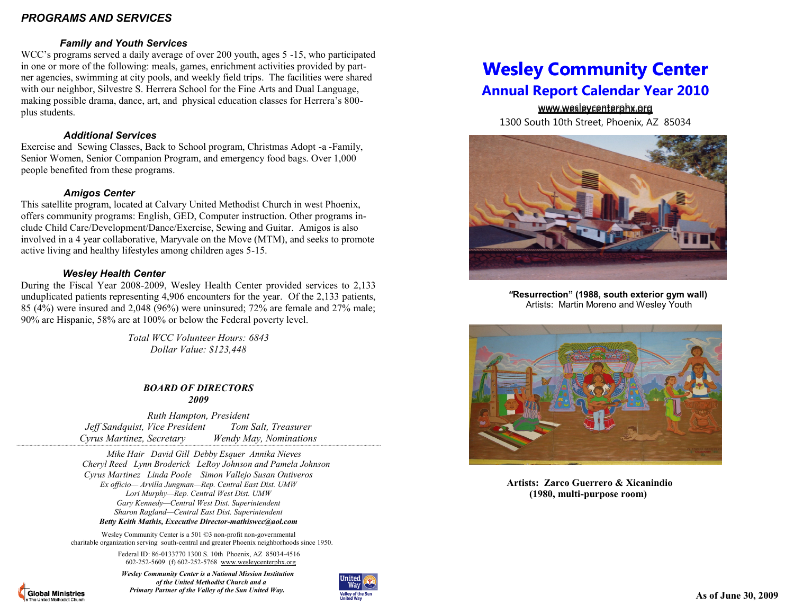## *PROGRAMS AND SERVICES*

## *Family and Youth Services*

WCC's programs served a daily average of over 200 youth, ages 5 -15, who participated in one or more of the following: meals, games, enrichment activities provided by partner agencies, swimming at city pools, and weekly field trips. The facilities were shared with our neighbor, Silvestre S. Herrera School for the Fine Arts and Dual Language, making possible drama, dance, art, and physical education classes for Herrera's 800 plus students.

### *Additional Services*

Exercise and Sewing Classes, Back to School program, Christmas Adopt -a -Family, Senior Women, Senior Companion Program, and emergency food bags. Over 1,000 people benefited from these programs.

## *Amigos Center*

This satellite program, located at Calvary United Methodist Church in west Phoenix, offers community programs: English, GED, Computer instruction. Other programs include Child Care/Development/Dance/Exercise, Sewing and Guitar. Amigos is also involved in a 4 year collaborative, Maryvale on the Move (MTM), and seeks to promote active living and healthy lifestyles among children ages 5-15.

## *Wesley Health Center*

During the Fiscal Year 2008-2009, Wesley Health Center provided services to 2,133 unduplicated patients representing 4,906 encounters for the year. Of the 2,133 patients, 85 (4%) were insured and 2,048 (96%) were uninsured; 72% are female and 27% male; 90% are Hispanic, 58% are at 100% or below the Federal poverty level.

> *Total WCC Volunteer Hours: 6843 Dollar Value: \$123,448*

#### *BOARD OF DIRECTORS 2009*

*Ruth Hampton, President Jeff Sandquist, Vice President Tom Salt, Treasurer Cyrus Martinez, Secretary Wendy May, Nominations* 

*`````````````````````````````````````````````````````````````````````````````````````````````````````````````````````````````````````````````````````````````````````````````````````````````````````````````````````````````````````````````````````````````````````````````````*

 *Mike Hair David Gill Debby Esquer Annika Nieves Cheryl Reed Lynn Broderick LeRoy Johnson and Pamela Johnson Cyrus Martinez Linda Poole Simon Vallejo Susan Ontiveros Ex officio— Arvilla Jungman—Rep. Central East Dist. UMW Lori Murphy—Rep. Central West Dist. UMW Gary Kennedy—Central West Dist. Superintendent Sharon Ragland—Central East Dist. Superintendent Betty Keith Mathis, Executive Director-mathiswcc@aol.com*

Wesley Community Center is a 501 ©3 non-profit non-governmental charitable organization serving south-central and greater Phoenix neighborhoods since 1950.

> Federal ID: 86-0133770 1300 S. 10th Phoenix, AZ 85034-4516 602-252-5609 (f) 602-252-5768 www.wesleycenterphx.org

**Global Ministries** 

 *Wesley Community Center is a National Mission Institution of the United Methodist Church and a Primary Partner of the Valley of the Sun United Way.*



# **Wesley Community Center Annual Report Calendar Year 2010**

www.wesleycenterphx.org www.wesleycenterphx.org 1300 South 10th Street, Phoenix, AZ 85034



 *"***Resurrection" (1988, south exterior gym wall)**  Artists: Martin Moreno and Wesley Youth



 **Artists: Zarco Guerrero & Xicanindio (1980, multi-purpose room)**